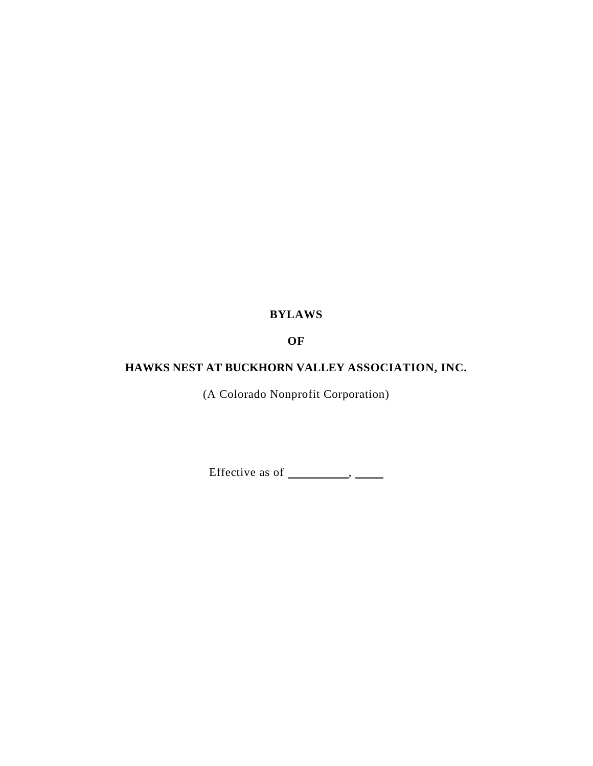# **BYLAWS**

# **OF**

# **HAWKS NEST AT BUCKHORN VALLEY ASSOCIATION, INC.**

(A Colorado Nonprofit Corporation)

Effective as of  $\_\_\_\_\_\_\_\_\_\$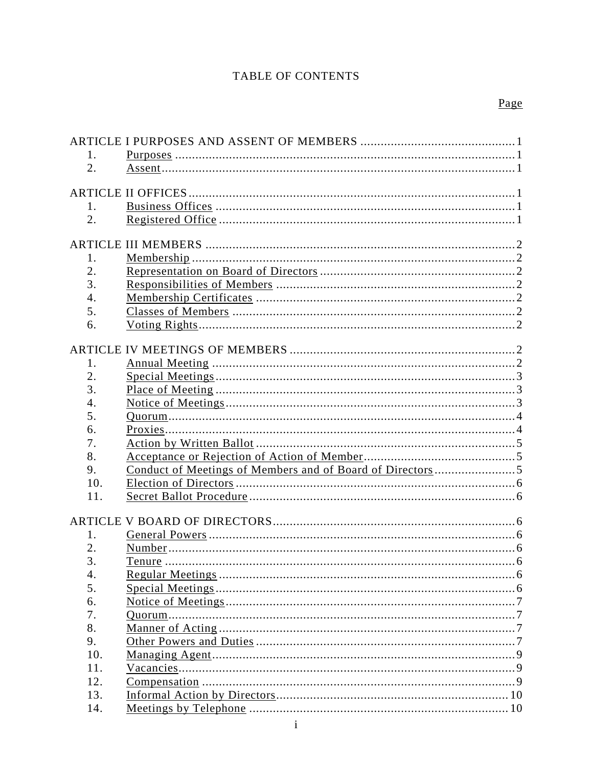# TABLE OF CONTENTS

| 1.  |  |
|-----|--|
| 2.  |  |
|     |  |
|     |  |
| 1.  |  |
| 2.  |  |
|     |  |
|     |  |
| 1.  |  |
| 2.  |  |
| 3.  |  |
| 4.  |  |
| 5.  |  |
| 6.  |  |
|     |  |
|     |  |
| 1.  |  |
| 2.  |  |
| 3.  |  |
| 4.  |  |
| 5.  |  |
| 6.  |  |
| 7.  |  |
| 8.  |  |
| 9.  |  |
| 10. |  |
| 11. |  |
|     |  |
|     |  |
| 1.  |  |
| 2.  |  |
| 3.  |  |
| 4.  |  |
| 5.  |  |
| 6.  |  |
| 7.  |  |
| 8.  |  |
| 9.  |  |
| 10. |  |
| 11. |  |
| 12. |  |
| 13. |  |
| 14. |  |
|     |  |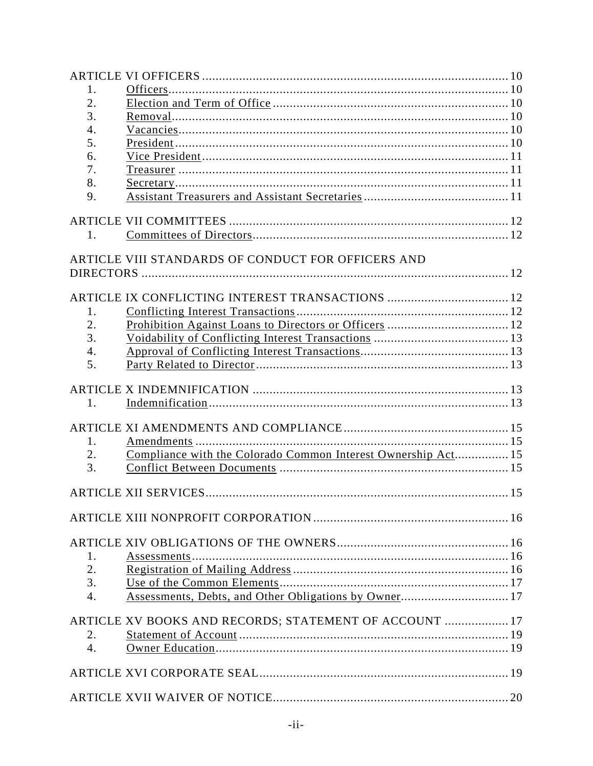| 1.               |                                                               |  |
|------------------|---------------------------------------------------------------|--|
| 2.               |                                                               |  |
| 3.               |                                                               |  |
| 4.               |                                                               |  |
| 5.               |                                                               |  |
| 6.               |                                                               |  |
| 7.               |                                                               |  |
| 8.               |                                                               |  |
| 9.               |                                                               |  |
|                  |                                                               |  |
|                  |                                                               |  |
| 1.               |                                                               |  |
|                  |                                                               |  |
|                  | ARTICLE VIII STANDARDS OF CONDUCT FOR OFFICERS AND            |  |
|                  |                                                               |  |
|                  |                                                               |  |
|                  |                                                               |  |
| 1.               |                                                               |  |
| 2.               |                                                               |  |
| 3.               |                                                               |  |
| 4.               |                                                               |  |
| 5.               |                                                               |  |
|                  |                                                               |  |
|                  |                                                               |  |
| 1.               |                                                               |  |
|                  |                                                               |  |
|                  |                                                               |  |
| 1.               |                                                               |  |
| 2.               | Compliance with the Colorado Common Interest Ownership Act 15 |  |
| 3.               |                                                               |  |
|                  |                                                               |  |
|                  |                                                               |  |
|                  |                                                               |  |
|                  |                                                               |  |
|                  |                                                               |  |
|                  |                                                               |  |
| 1.               |                                                               |  |
| 2.               |                                                               |  |
| 3.               |                                                               |  |
| $\overline{4}$ . |                                                               |  |
|                  |                                                               |  |
|                  | ARTICLE XV BOOKS AND RECORDS; STATEMENT OF ACCOUNT  17        |  |
| 2.               |                                                               |  |
| $\overline{4}$ . |                                                               |  |
|                  |                                                               |  |
|                  |                                                               |  |
|                  |                                                               |  |
|                  |                                                               |  |
|                  |                                                               |  |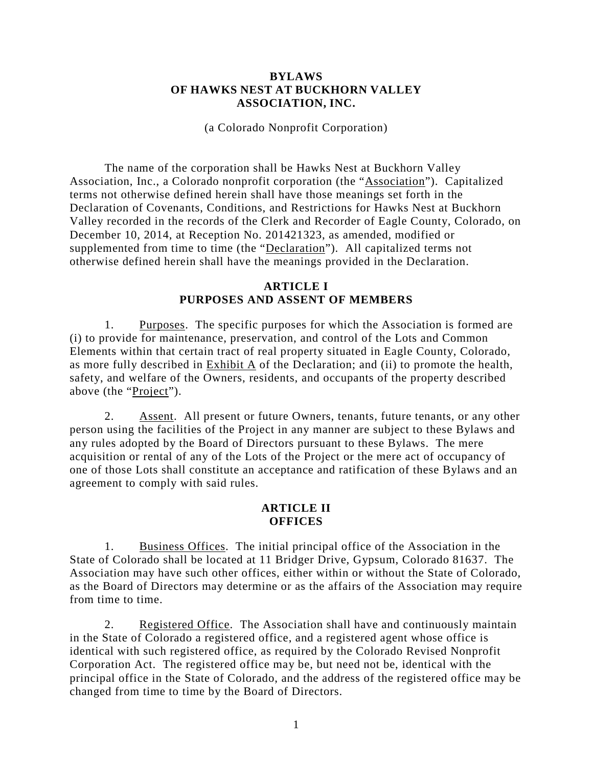#### **BYLAWS OF HAWKS NEST AT BUCKHORN VALLEY ASSOCIATION, INC.**

(a Colorado Nonprofit Corporation)

The name of the corporation shall be Hawks Nest at Buckhorn Valley Association, Inc., a Colorado nonprofit corporation (the "Association"). Capitalized terms not otherwise defined herein shall have those meanings set forth in the Declaration of Covenants, Conditions, and Restrictions for Hawks Nest at Buckhorn Valley recorded in the records of the Clerk and Recorder of Eagle County, Colorado, on December 10, 2014, at Reception No. 201421323, as amended, modified or supplemented from time to time (the "Declaration"). All capitalized terms not otherwise defined herein shall have the meanings provided in the Declaration.

#### **ARTICLE I PURPOSES AND ASSENT OF MEMBERS**

1. Purposes. The specific purposes for which the Association is formed are (i) to provide for maintenance, preservation, and control of the Lots and Common Elements within that certain tract of real property situated in Eagle County, Colorado, as more fully described in Exhibit A of the Declaration; and (ii) to promote the health, safety, and welfare of the Owners, residents, and occupants of the property described above (the "Project").

2. Assent. All present or future Owners, tenants, future tenants, or any other person using the facilities of the Project in any manner are subject to these Bylaws and any rules adopted by the Board of Directors pursuant to these Bylaws. The mere acquisition or rental of any of the Lots of the Project or the mere act of occupancy of one of those Lots shall constitute an acceptance and ratification of these Bylaws and an agreement to comply with said rules.

#### **ARTICLE II OFFICES**

1. Business Offices. The initial principal office of the Association in the State of Colorado shall be located at 11 Bridger Drive, Gypsum, Colorado 81637. The Association may have such other offices, either within or without the State of Colorado, as the Board of Directors may determine or as the affairs of the Association may require from time to time.

2. Registered Office. The Association shall have and continuously maintain in the State of Colorado a registered office, and a registered agent whose office is identical with such registered office, as required by the Colorado Revised Nonprofit Corporation Act. The registered office may be, but need not be, identical with the principal office in the State of Colorado, and the address of the registered office may be changed from time to time by the Board of Directors.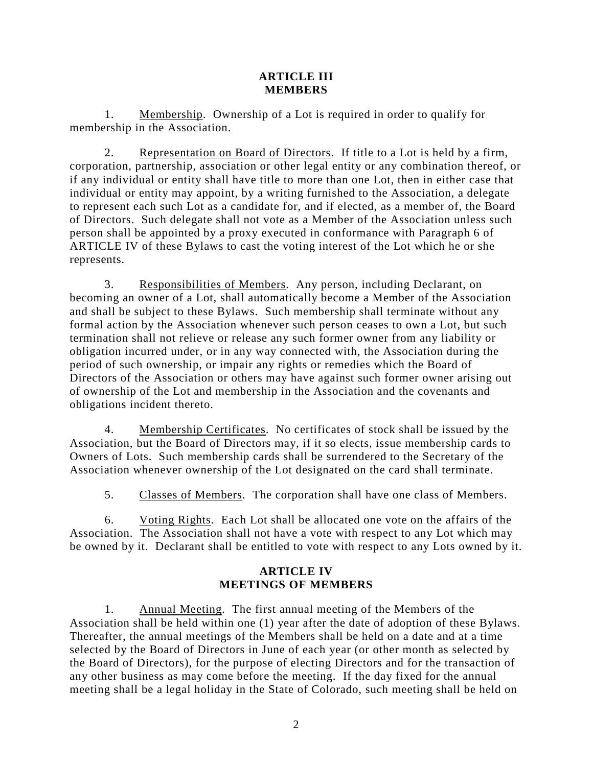### **ARTICLE III MEMBERS**

1. Membership. Ownership of a Lot is required in order to qualify for membership in the Association.

2. Representation on Board of Directors. If title to a Lot is held by a firm, corporation, partnership, association or other legal entity or any combination thereof, or if any individual or entity shall have title to more than one Lot, then in either case that individual or entity may appoint, by a writing furnished to the Association, a delegate to represent each such Lot as a candidate for, and if elected, as a member of, the Board of Directors. Such delegate shall not vote as a Member of the Association unless such person shall be appointed by a proxy executed in conformance with Paragraph 6 of ARTICLE IV of these Bylaws to cast the voting interest of the Lot which he or she represents.

3. Responsibilities of Members. Any person, including Declarant, on becoming an owner of a Lot, shall automatically become a Member of the Association and shall be subject to these Bylaws. Such membership shall terminate without any formal action by the Association whenever such person ceases to own a Lot, but such termination shall not relieve or release any such former owner from any liability or obligation incurred under, or in any way connected with, the Association during the period of such ownership, or impair any rights or remedies which the Board of Directors of the Association or others may have against such former owner arising out of ownership of the Lot and membership in the Association and the covenants and obligations incident thereto.

4. Membership Certificates. No certificates of stock shall be issued by the Association, but the Board of Directors may, if it so elects, issue membership cards to Owners of Lots. Such membership cards shall be surrendered to the Secretary of the Association whenever ownership of the Lot designated on the card shall terminate.

5. Classes of Members. The corporation shall have one class of Members.

6. Voting Rights. Each Lot shall be allocated one vote on the affairs of the Association. The Association shall not have a vote with respect to any Lot which may be owned by it. Declarant shall be entitled to vote with respect to any Lots owned by it.

# **ARTICLE IV MEETINGS OF MEMBERS**

1. Annual Meeting. The first annual meeting of the Members of the Association shall be held within one (1) year after the date of adoption of these Bylaws. Thereafter, the annual meetings of the Members shall be held on a date and at a time selected by the Board of Directors in June of each year (or other month as selected by the Board of Directors), for the purpose of electing Directors and for the transaction of any other business as may come before the meeting. If the day fixed for the annual meeting shall be a legal holiday in the State of Colorado, such meeting shall be held on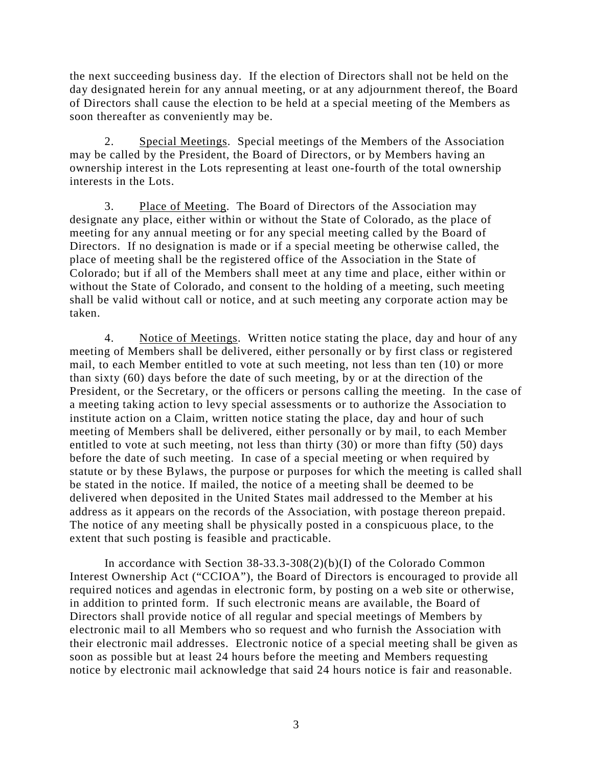the next succeeding business day. If the election of Directors shall not be held on the day designated herein for any annual meeting, or at any adjournment thereof, the Board of Directors shall cause the election to be held at a special meeting of the Members as soon thereafter as conveniently may be.

2. Special Meetings. Special meetings of the Members of the Association may be called by the President, the Board of Directors, or by Members having an ownership interest in the Lots representing at least one-fourth of the total ownership interests in the Lots.

3. Place of Meeting. The Board of Directors of the Association may designate any place, either within or without the State of Colorado, as the place of meeting for any annual meeting or for any special meeting called by the Board of Directors. If no designation is made or if a special meeting be otherwise called, the place of meeting shall be the registered office of the Association in the State of Colorado; but if all of the Members shall meet at any time and place, either within or without the State of Colorado, and consent to the holding of a meeting, such meeting shall be valid without call or notice, and at such meeting any corporate action may be taken.

4. Notice of Meetings. Written notice stating the place, day and hour of any meeting of Members shall be delivered, either personally or by first class or registered mail, to each Member entitled to vote at such meeting, not less than ten (10) or more than sixty (60) days before the date of such meeting, by or at the direction of the President, or the Secretary, or the officers or persons calling the meeting. In the case of a meeting taking action to levy special assessments or to authorize the Association to institute action on a Claim, written notice stating the place, day and hour of such meeting of Members shall be delivered, either personally or by mail, to each Member entitled to vote at such meeting, not less than thirty (30) or more than fifty (50) days before the date of such meeting. In case of a special meeting or when required by statute or by these Bylaws, the purpose or purposes for which the meeting is called shall be stated in the notice. If mailed, the notice of a meeting shall be deemed to be delivered when deposited in the United States mail addressed to the Member at his address as it appears on the records of the Association, with postage thereon prepaid. The notice of any meeting shall be physically posted in a conspicuous place, to the extent that such posting is feasible and practicable.

In accordance with Section 38-33.3-308(2)(b)(I) of the Colorado Common Interest Ownership Act ("CCIOA"), the Board of Directors is encouraged to provide all required notices and agendas in electronic form, by posting on a web site or otherwise, in addition to printed form. If such electronic means are available, the Board of Directors shall provide notice of all regular and special meetings of Members by electronic mail to all Members who so request and who furnish the Association with their electronic mail addresses. Electronic notice of a special meeting shall be given as soon as possible but at least 24 hours before the meeting and Members requesting notice by electronic mail acknowledge that said 24 hours notice is fair and reasonable.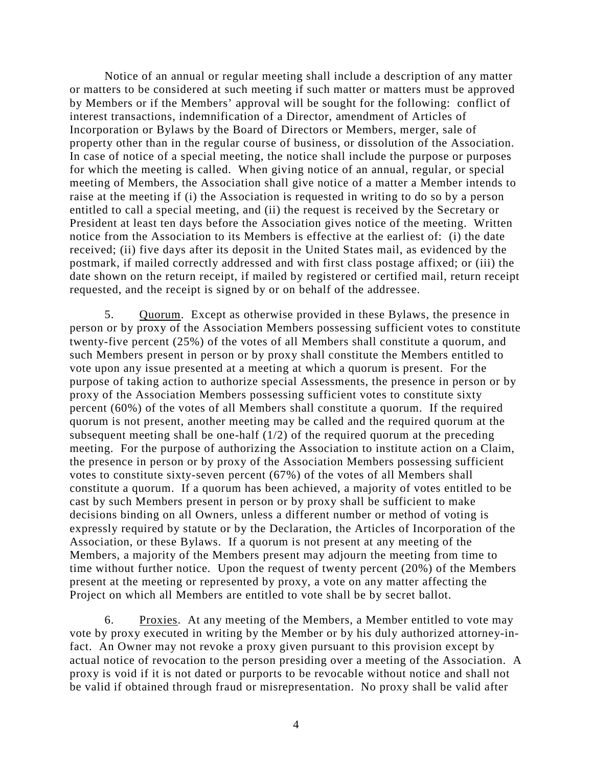Notice of an annual or regular meeting shall include a description of any matter or matters to be considered at such meeting if such matter or matters must be approved by Members or if the Members' approval will be sought for the following: conflict of interest transactions, indemnification of a Director, amendment of Articles of Incorporation or Bylaws by the Board of Directors or Members, merger, sale of property other than in the regular course of business, or dissolution of the Association. In case of notice of a special meeting, the notice shall include the purpose or purposes for which the meeting is called. When giving notice of an annual, regular, or special meeting of Members, the Association shall give notice of a matter a Member intends to raise at the meeting if (i) the Association is requested in writing to do so by a person entitled to call a special meeting, and (ii) the request is received by the Secretary or President at least ten days before the Association gives notice of the meeting. Written notice from the Association to its Members is effective at the earliest of: (i) the date received; (ii) five days after its deposit in the United States mail, as evidenced by the postmark, if mailed correctly addressed and with first class postage affixed; or (iii) the date shown on the return receipt, if mailed by registered or certified mail, return receipt requested, and the receipt is signed by or on behalf of the addressee.

5. Quorum. Except as otherwise provided in these Bylaws, the presence in person or by proxy of the Association Members possessing sufficient votes to constitute twenty-five percent (25%) of the votes of all Members shall constitute a quorum, and such Members present in person or by proxy shall constitute the Members entitled to vote upon any issue presented at a meeting at which a quorum is present. For the purpose of taking action to authorize special Assessments, the presence in person or by proxy of the Association Members possessing sufficient votes to constitute sixty percent (60%) of the votes of all Members shall constitute a quorum. If the required quorum is not present, another meeting may be called and the required quorum at the subsequent meeting shall be one-half  $(1/2)$  of the required quorum at the preceding meeting. For the purpose of authorizing the Association to institute action on a Claim, the presence in person or by proxy of the Association Members possessing sufficient votes to constitute sixty-seven percent (67%) of the votes of all Members shall constitute a quorum. If a quorum has been achieved, a majority of votes entitled to be cast by such Members present in person or by proxy shall be sufficient to make decisions binding on all Owners, unless a different number or method of voting is expressly required by statute or by the Declaration, the Articles of Incorporation of the Association, or these Bylaws. If a quorum is not present at any meeting of the Members, a majority of the Members present may adjourn the meeting from time to time without further notice. Upon the request of twenty percent (20%) of the Members present at the meeting or represented by proxy, a vote on any matter affecting the Project on which all Members are entitled to vote shall be by secret ballot.

6. Proxies. At any meeting of the Members, a Member entitled to vote may vote by proxy executed in writing by the Member or by his duly authorized attorney-infact. An Owner may not revoke a proxy given pursuant to this provision except by actual notice of revocation to the person presiding over a meeting of the Association. A proxy is void if it is not dated or purports to be revocable without notice and shall not be valid if obtained through fraud or misrepresentation. No proxy shall be valid after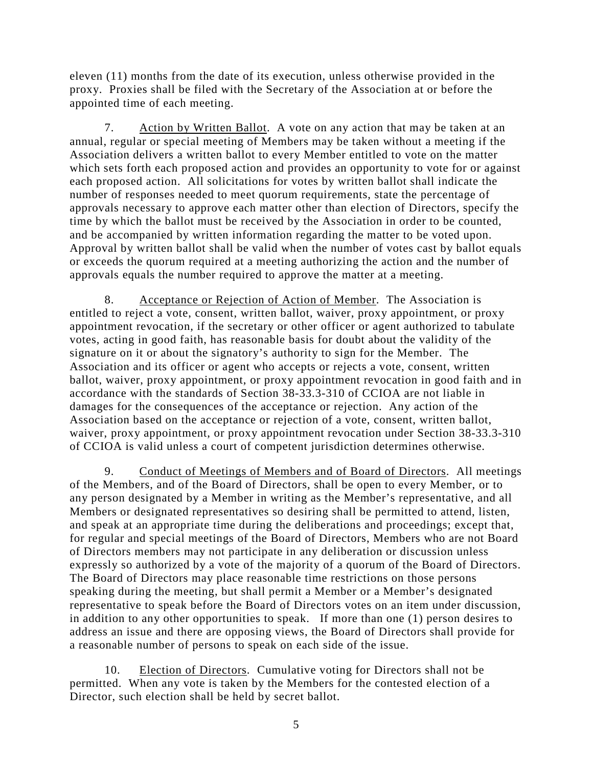eleven (11) months from the date of its execution, unless otherwise provided in the proxy. Proxies shall be filed with the Secretary of the Association at or before the appointed time of each meeting.

7. Action by Written Ballot. A vote on any action that may be taken at an annual, regular or special meeting of Members may be taken without a meeting if the Association delivers a written ballot to every Member entitled to vote on the matter which sets forth each proposed action and provides an opportunity to vote for or against each proposed action. All solicitations for votes by written ballot shall indicate the number of responses needed to meet quorum requirements, state the percentage of approvals necessary to approve each matter other than election of Directors, specify the time by which the ballot must be received by the Association in order to be counted, and be accompanied by written information regarding the matter to be voted upon. Approval by written ballot shall be valid when the number of votes cast by ballot equals or exceeds the quorum required at a meeting authorizing the action and the number of approvals equals the number required to approve the matter at a meeting.

8. Acceptance or Rejection of Action of Member. The Association is entitled to reject a vote, consent, written ballot, waiver, proxy appointment, or proxy appointment revocation, if the secretary or other officer or agent authorized to tabulate votes, acting in good faith, has reasonable basis for doubt about the validity of the signature on it or about the signatory's authority to sign for the Member. The Association and its officer or agent who accepts or rejects a vote, consent, written ballot, waiver, proxy appointment, or proxy appointment revocation in good faith and in accordance with the standards of Section 38-33.3-310 of CCIOA are not liable in damages for the consequences of the acceptance or rejection. Any action of the Association based on the acceptance or rejection of a vote, consent, written ballot, waiver, proxy appointment, or proxy appointment revocation under Section 38-33.3-310 of CCIOA is valid unless a court of competent jurisdiction determines otherwise.

9. Conduct of Meetings of Members and of Board of Directors. All meetings of the Members, and of the Board of Directors, shall be open to every Member, or to any person designated by a Member in writing as the Member's representative, and all Members or designated representatives so desiring shall be permitted to attend, listen, and speak at an appropriate time during the deliberations and proceedings; except that, for regular and special meetings of the Board of Directors, Members who are not Board of Directors members may not participate in any deliberation or discussion unless expressly so authorized by a vote of the majority of a quorum of the Board of Directors. The Board of Directors may place reasonable time restrictions on those persons speaking during the meeting, but shall permit a Member or a Member's designated representative to speak before the Board of Directors votes on an item under discussion, in addition to any other opportunities to speak. If more than one (1) person desires to address an issue and there are opposing views, the Board of Directors shall provide for a reasonable number of persons to speak on each side of the issue.

10. Election of Directors. Cumulative voting for Directors shall not be permitted. When any vote is taken by the Members for the contested election of a Director, such election shall be held by secret ballot.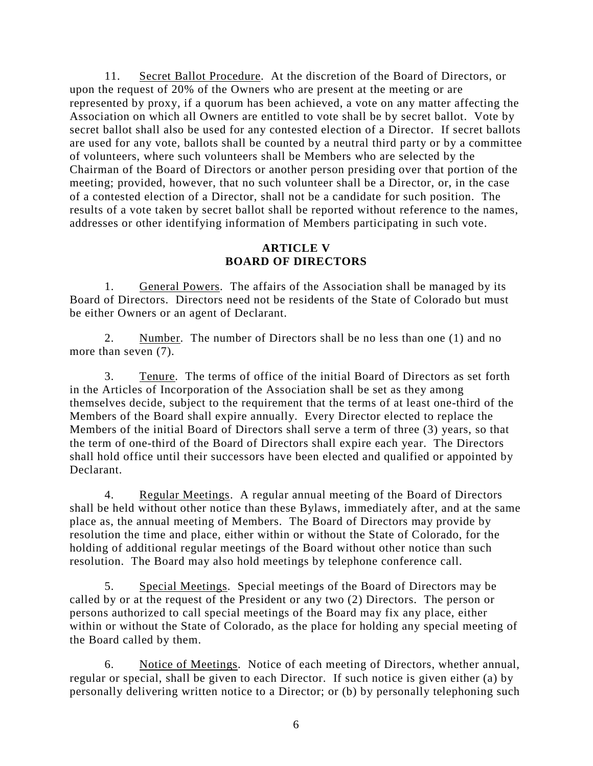11. Secret Ballot Procedure. At the discretion of the Board of Directors, or upon the request of 20% of the Owners who are present at the meeting or are represented by proxy, if a quorum has been achieved, a vote on any matter affecting the Association on which all Owners are entitled to vote shall be by secret ballot. Vote by secret ballot shall also be used for any contested election of a Director. If secret ballots are used for any vote, ballots shall be counted by a neutral third party or by a committee of volunteers, where such volunteers shall be Members who are selected by the Chairman of the Board of Directors or another person presiding over that portion of the meeting; provided, however, that no such volunteer shall be a Director, or, in the case of a contested election of a Director, shall not be a candidate for such position. The results of a vote taken by secret ballot shall be reported without reference to the names, addresses or other identifying information of Members participating in such vote.

## **ARTICLE V BOARD OF DIRECTORS**

1. General Powers. The affairs of the Association shall be managed by its Board of Directors. Directors need not be residents of the State of Colorado but must be either Owners or an agent of Declarant.

2. Number. The number of Directors shall be no less than one (1) and no more than seven (7).

3. Tenure. The terms of office of the initial Board of Directors as set forth in the Articles of Incorporation of the Association shall be set as they among themselves decide, subject to the requirement that the terms of at least one-third of the Members of the Board shall expire annually. Every Director elected to replace the Members of the initial Board of Directors shall serve a term of three (3) years, so that the term of one-third of the Board of Directors shall expire each year. The Directors shall hold office until their successors have been elected and qualified or appointed by Declarant.

4. Regular Meetings. A regular annual meeting of the Board of Directors shall be held without other notice than these Bylaws, immediately after, and at the same place as, the annual meeting of Members. The Board of Directors may provide by resolution the time and place, either within or without the State of Colorado, for the holding of additional regular meetings of the Board without other notice than such resolution. The Board may also hold meetings by telephone conference call.

5. Special Meetings. Special meetings of the Board of Directors may be called by or at the request of the President or any two (2) Directors. The person or persons authorized to call special meetings of the Board may fix any place, either within or without the State of Colorado, as the place for holding any special meeting of the Board called by them.

6. Notice of Meetings. Notice of each meeting of Directors, whether annual, regular or special, shall be given to each Director. If such notice is given either (a) by personally delivering written notice to a Director; or (b) by personally telephoning such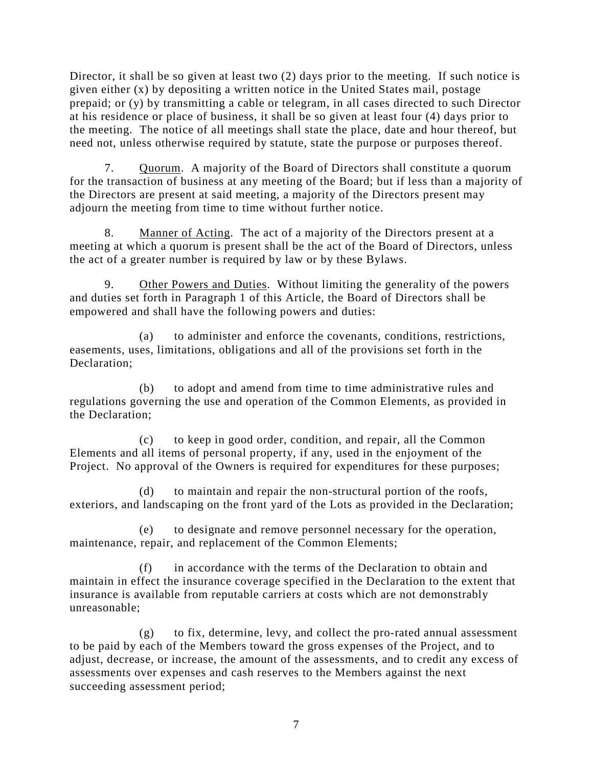Director, it shall be so given at least two (2) days prior to the meeting. If such notice is given either (x) by depositing a written notice in the United States mail, postage prepaid; or (y) by transmitting a cable or telegram, in all cases directed to such Director at his residence or place of business, it shall be so given at least four (4) days prior to the meeting. The notice of all meetings shall state the place, date and hour thereof, but need not, unless otherwise required by statute, state the purpose or purposes thereof.

7. Quorum. A majority of the Board of Directors shall constitute a quorum for the transaction of business at any meeting of the Board; but if less than a majority of the Directors are present at said meeting, a majority of the Directors present may adjourn the meeting from time to time without further notice.

8. Manner of Acting. The act of a majority of the Directors present at a meeting at which a quorum is present shall be the act of the Board of Directors, unless the act of a greater number is required by law or by these Bylaws.

9. Other Powers and Duties. Without limiting the generality of the powers and duties set forth in Paragraph 1 of this Article, the Board of Directors shall be empowered and shall have the following powers and duties:

(a) to administer and enforce the covenants, conditions, restrictions, easements, uses, limitations, obligations and all of the provisions set forth in the Declaration;

(b) to adopt and amend from time to time administrative rules and regulations governing the use and operation of the Common Elements, as provided in the Declaration;

(c) to keep in good order, condition, and repair, all the Common Elements and all items of personal property, if any, used in the enjoyment of the Project. No approval of the Owners is required for expenditures for these purposes;

(d) to maintain and repair the non-structural portion of the roofs, exteriors, and landscaping on the front yard of the Lots as provided in the Declaration;

(e) to designate and remove personnel necessary for the operation, maintenance, repair, and replacement of the Common Elements;

(f) in accordance with the terms of the Declaration to obtain and maintain in effect the insurance coverage specified in the Declaration to the extent that insurance is available from reputable carriers at costs which are not demonstrably unreasonable;

(g) to fix, determine, levy, and collect the pro-rated annual assessment to be paid by each of the Members toward the gross expenses of the Project, and to adjust, decrease, or increase, the amount of the assessments, and to credit any excess of assessments over expenses and cash reserves to the Members against the next succeeding assessment period;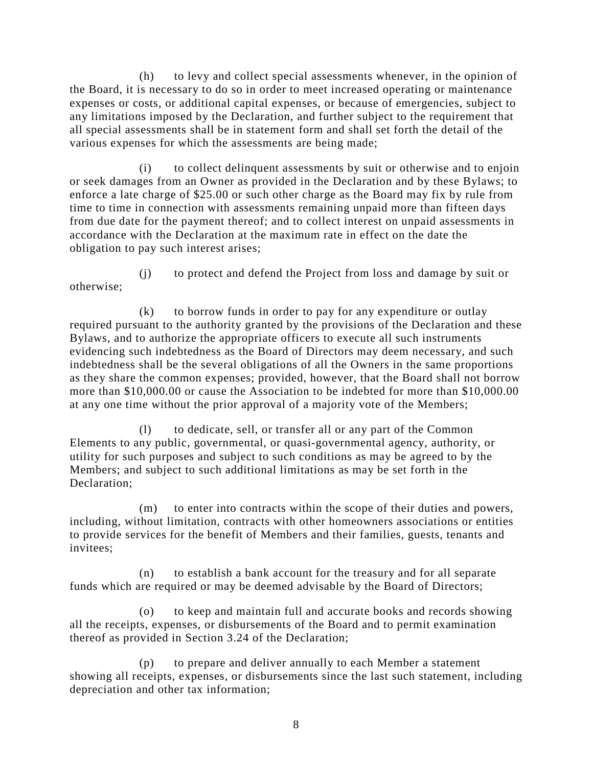(h) to levy and collect special assessments whenever, in the opinion of the Board, it is necessary to do so in order to meet increased operating or maintenance expenses or costs, or additional capital expenses, or because of emergencies, subject to any limitations imposed by the Declaration, and further subject to the requirement that all special assessments shall be in statement form and shall set forth the detail of the various expenses for which the assessments are being made;

(i) to collect delinquent assessments by suit or otherwise and to enjoin or seek damages from an Owner as provided in the Declaration and by these Bylaws; to enforce a late charge of \$25.00 or such other charge as the Board may fix by rule from time to time in connection with assessments remaining unpaid more than fifteen days from due date for the payment thereof; and to collect interest on unpaid assessments in accordance with the Declaration at the maximum rate in effect on the date the obligation to pay such interest arises;

otherwise;

(j) to protect and defend the Project from loss and damage by suit or

(k) to borrow funds in order to pay for any expenditure or outlay required pursuant to the authority granted by the provisions of the Declaration and these Bylaws, and to authorize the appropriate officers to execute all such instruments evidencing such indebtedness as the Board of Directors may deem necessary, and such indebtedness shall be the several obligations of all the Owners in the same proportions as they share the common expenses; provided, however, that the Board shall not borrow more than \$10,000.00 or cause the Association to be indebted for more than \$10,000.00 at any one time without the prior approval of a majority vote of the Members;

(l) to dedicate, sell, or transfer all or any part of the Common Elements to any public, governmental, or quasi-governmental agency, authority, or utility for such purposes and subject to such conditions as may be agreed to by the Members; and subject to such additional limitations as may be set forth in the Declaration;

(m) to enter into contracts within the scope of their duties and powers, including, without limitation, contracts with other homeowners associations or entities to provide services for the benefit of Members and their families, guests, tenants and invitees;

(n) to establish a bank account for the treasury and for all separate funds which are required or may be deemed advisable by the Board of Directors;

(o) to keep and maintain full and accurate books and records showing all the receipts, expenses, or disbursements of the Board and to permit examination thereof as provided in Section 3.24 of the Declaration;

(p) to prepare and deliver annually to each Member a statement showing all receipts, expenses, or disbursements since the last such statement, including depreciation and other tax information;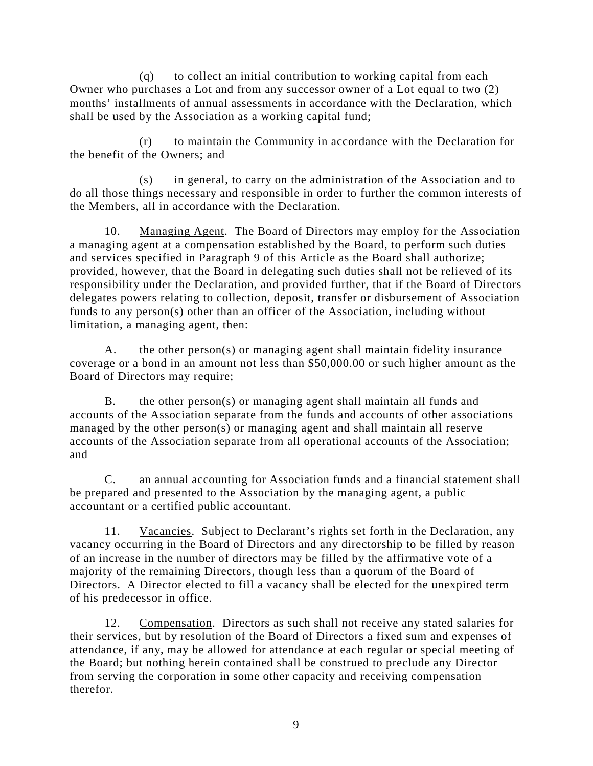(q) to collect an initial contribution to working capital from each Owner who purchases a Lot and from any successor owner of a Lot equal to two (2) months' installments of annual assessments in accordance with the Declaration, which shall be used by the Association as a working capital fund;

(r) to maintain the Community in accordance with the Declaration for the benefit of the Owners; and

(s) in general, to carry on the administration of the Association and to do all those things necessary and responsible in order to further the common interests of the Members, all in accordance with the Declaration.

10. Managing Agent. The Board of Directors may employ for the Association a managing agent at a compensation established by the Board, to perform such duties and services specified in Paragraph 9 of this Article as the Board shall authorize; provided, however, that the Board in delegating such duties shall not be relieved of its responsibility under the Declaration, and provided further, that if the Board of Directors delegates powers relating to collection, deposit, transfer or disbursement of Association funds to any person(s) other than an officer of the Association, including without limitation, a managing agent, then:

A. the other person(s) or managing agent shall maintain fidelity insurance coverage or a bond in an amount not less than \$50,000.00 or such higher amount as the Board of Directors may require;

B. the other person(s) or managing agent shall maintain all funds and accounts of the Association separate from the funds and accounts of other associations managed by the other person(s) or managing agent and shall maintain all reserve accounts of the Association separate from all operational accounts of the Association; and

C. an annual accounting for Association funds and a financial statement shall be prepared and presented to the Association by the managing agent, a public accountant or a certified public accountant.

11. Vacancies. Subject to Declarant's rights set forth in the Declaration, any vacancy occurring in the Board of Directors and any directorship to be filled by reason of an increase in the number of directors may be filled by the affirmative vote of a majority of the remaining Directors, though less than a quorum of the Board of Directors. A Director elected to fill a vacancy shall be elected for the unexpired term of his predecessor in office.

12. Compensation. Directors as such shall not receive any stated salaries for their services, but by resolution of the Board of Directors a fixed sum and expenses of attendance, if any, may be allowed for attendance at each regular or special meeting of the Board; but nothing herein contained shall be construed to preclude any Director from serving the corporation in some other capacity and receiving compensation therefor.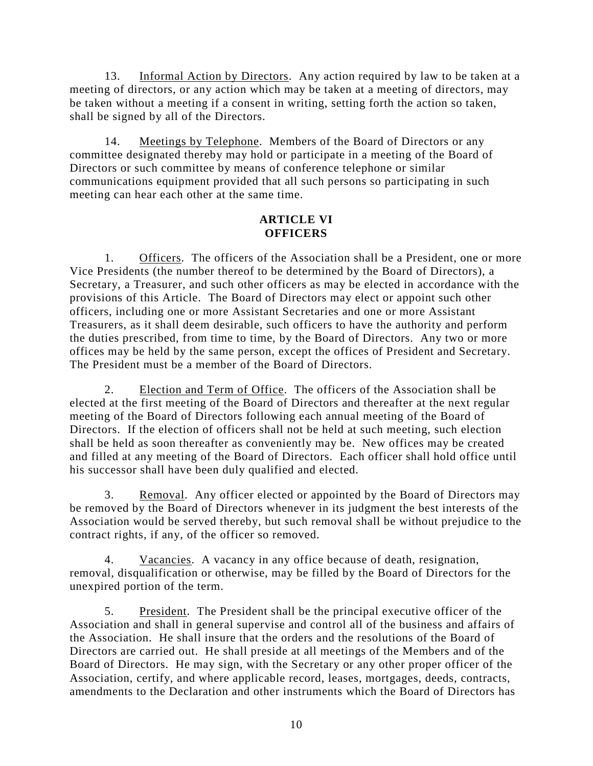13. Informal Action by Directors. Any action required by law to be taken at a meeting of directors, or any action which may be taken at a meeting of directors, may be taken without a meeting if a consent in writing, setting forth the action so taken, shall be signed by all of the Directors.

14. Meetings by Telephone. Members of the Board of Directors or any committee designated thereby may hold or participate in a meeting of the Board of Directors or such committee by means of conference telephone or similar communications equipment provided that all such persons so participating in such meeting can hear each other at the same time.

# **ARTICLE VI OFFICERS**

1. Officers. The officers of the Association shall be a President, one or more Vice Presidents (the number thereof to be determined by the Board of Directors), a Secretary, a Treasurer, and such other officers as may be elected in accordance with the provisions of this Article. The Board of Directors may elect or appoint such other officers, including one or more Assistant Secretaries and one or more Assistant Treasurers, as it shall deem desirable, such officers to have the authority and perform the duties prescribed, from time to time, by the Board of Directors. Any two or more offices may be held by the same person, except the offices of President and Secretary. The President must be a member of the Board of Directors.

2. Election and Term of Office. The officers of the Association shall be elected at the first meeting of the Board of Directors and thereafter at the next regular meeting of the Board of Directors following each annual meeting of the Board of Directors. If the election of officers shall not be held at such meeting, such election shall be held as soon thereafter as conveniently may be. New offices may be created and filled at any meeting of the Board of Directors. Each officer shall hold office until his successor shall have been duly qualified and elected.

3. Removal. Any officer elected or appointed by the Board of Directors may be removed by the Board of Directors whenever in its judgment the best interests of the Association would be served thereby, but such removal shall be without prejudice to the contract rights, if any, of the officer so removed.

4. Vacancies. A vacancy in any office because of death, resignation, removal, disqualification or otherwise, may be filled by the Board of Directors for the unexpired portion of the term.

5. President. The President shall be the principal executive officer of the Association and shall in general supervise and control all of the business and affairs of the Association. He shall insure that the orders and the resolutions of the Board of Directors are carried out. He shall preside at all meetings of the Members and of the Board of Directors. He may sign, with the Secretary or any other proper officer of the Association, certify, and where applicable record, leases, mortgages, deeds, contracts, amendments to the Declaration and other instruments which the Board of Directors has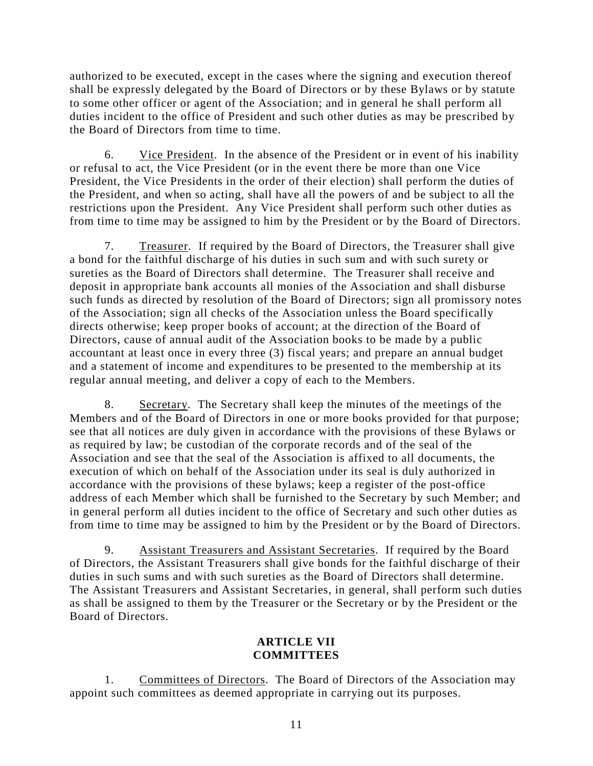authorized to be executed, except in the cases where the signing and execution thereof shall be expressly delegated by the Board of Directors or by these Bylaws or by statute to some other officer or agent of the Association; and in general he shall perform all duties incident to the office of President and such other duties as may be prescribed by the Board of Directors from time to time.

6. Vice President. In the absence of the President or in event of his inability or refusal to act, the Vice President (or in the event there be more than one Vice President, the Vice Presidents in the order of their election) shall perform the duties of the President, and when so acting, shall have all the powers of and be subject to all the restrictions upon the President. Any Vice President shall perform such other duties as from time to time may be assigned to him by the President or by the Board of Directors.

7. Treasurer. If required by the Board of Directors, the Treasurer shall give a bond for the faithful discharge of his duties in such sum and with such surety or sureties as the Board of Directors shall determine. The Treasurer shall receive and deposit in appropriate bank accounts all monies of the Association and shall disburse such funds as directed by resolution of the Board of Directors; sign all promissory notes of the Association; sign all checks of the Association unless the Board specifically directs otherwise; keep proper books of account; at the direction of the Board of Directors, cause of annual audit of the Association books to be made by a public accountant at least once in every three (3) fiscal years; and prepare an annual budget and a statement of income and expenditures to be presented to the membership at its regular annual meeting, and deliver a copy of each to the Members.

8. Secretary. The Secretary shall keep the minutes of the meetings of the Members and of the Board of Directors in one or more books provided for that purpose; see that all notices are duly given in accordance with the provisions of these Bylaws or as required by law; be custodian of the corporate records and of the seal of the Association and see that the seal of the Association is affixed to all documents, the execution of which on behalf of the Association under its seal is duly authorized in accordance with the provisions of these bylaws; keep a register of the post-office address of each Member which shall be furnished to the Secretary by such Member; and in general perform all duties incident to the office of Secretary and such other duties as from time to time may be assigned to him by the President or by the Board of Directors.

9. Assistant Treasurers and Assistant Secretaries. If required by the Board of Directors, the Assistant Treasurers shall give bonds for the faithful discharge of their duties in such sums and with such sureties as the Board of Directors shall determine. The Assistant Treasurers and Assistant Secretaries, in general, shall perform such duties as shall be assigned to them by the Treasurer or the Secretary or by the President or the Board of Directors.

# **ARTICLE VII COMMITTEES**

1. Committees of Directors. The Board of Directors of the Association may appoint such committees as deemed appropriate in carrying out its purposes.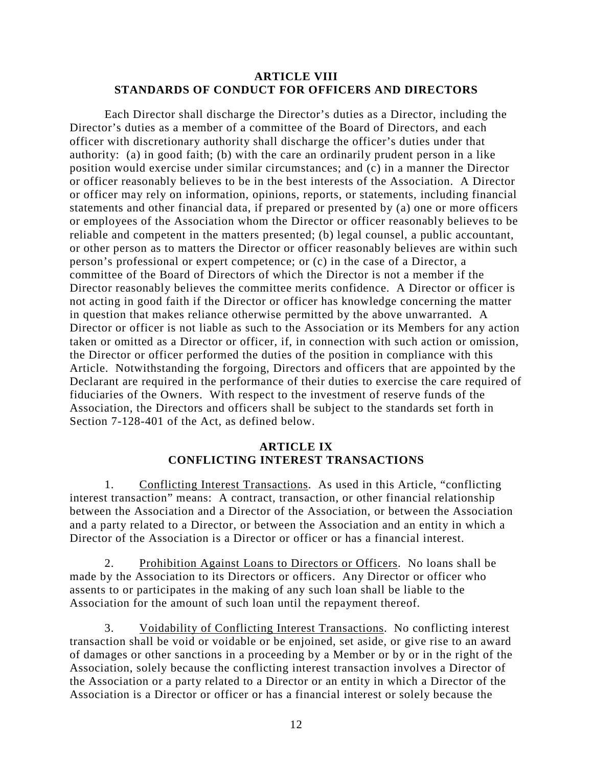#### **ARTICLE VIII STANDARDS OF CONDUCT FOR OFFICERS AND DIRECTORS**

Each Director shall discharge the Director's duties as a Director, including the Director's duties as a member of a committee of the Board of Directors, and each officer with discretionary authority shall discharge the officer's duties under that authority: (a) in good faith; (b) with the care an ordinarily prudent person in a like position would exercise under similar circumstances; and (c) in a manner the Director or officer reasonably believes to be in the best interests of the Association. A Director or officer may rely on information, opinions, reports, or statements, including financial statements and other financial data, if prepared or presented by (a) one or more officers or employees of the Association whom the Director or officer reasonably believes to be reliable and competent in the matters presented; (b) legal counsel, a public accountant, or other person as to matters the Director or officer reasonably believes are within such person's professional or expert competence; or (c) in the case of a Director, a committee of the Board of Directors of which the Director is not a member if the Director reasonably believes the committee merits confidence. A Director or officer is not acting in good faith if the Director or officer has knowledge concerning the matter in question that makes reliance otherwise permitted by the above unwarranted. A Director or officer is not liable as such to the Association or its Members for any action taken or omitted as a Director or officer, if, in connection with such action or omission, the Director or officer performed the duties of the position in compliance with this Article. Notwithstanding the forgoing, Directors and officers that are appointed by the Declarant are required in the performance of their duties to exercise the care required of fiduciaries of the Owners. With respect to the investment of reserve funds of the Association, the Directors and officers shall be subject to the standards set forth in Section 7-128-401 of the Act, as defined below.

## **ARTICLE IX CONFLICTING INTEREST TRANSACTIONS**

1. Conflicting Interest Transactions. As used in this Article, "conflicting interest transaction" means: A contract, transaction, or other financial relationship between the Association and a Director of the Association, or between the Association and a party related to a Director, or between the Association and an entity in which a Director of the Association is a Director or officer or has a financial interest.

2. Prohibition Against Loans to Directors or Officers. No loans shall be made by the Association to its Directors or officers. Any Director or officer who assents to or participates in the making of any such loan shall be liable to the Association for the amount of such loan until the repayment thereof.

3. Voidability of Conflicting Interest Transactions. No conflicting interest transaction shall be void or voidable or be enjoined, set aside, or give rise to an award of damages or other sanctions in a proceeding by a Member or by or in the right of the Association, solely because the conflicting interest transaction involves a Director of the Association or a party related to a Director or an entity in which a Director of the Association is a Director or officer or has a financial interest or solely because the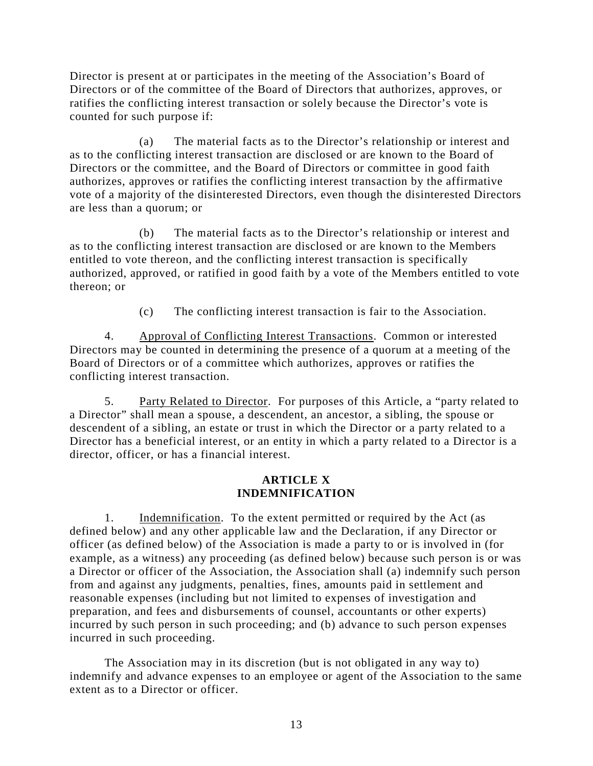Director is present at or participates in the meeting of the Association's Board of Directors or of the committee of the Board of Directors that authorizes, approves, or ratifies the conflicting interest transaction or solely because the Director's vote is counted for such purpose if:

(a) The material facts as to the Director's relationship or interest and as to the conflicting interest transaction are disclosed or are known to the Board of Directors or the committee, and the Board of Directors or committee in good faith authorizes, approves or ratifies the conflicting interest transaction by the affirmative vote of a majority of the disinterested Directors, even though the disinterested Directors are less than a quorum; or

(b) The material facts as to the Director's relationship or interest and as to the conflicting interest transaction are disclosed or are known to the Members entitled to vote thereon, and the conflicting interest transaction is specifically authorized, approved, or ratified in good faith by a vote of the Members entitled to vote thereon; or

(c) The conflicting interest transaction is fair to the Association.

4. Approval of Conflicting Interest Transactions. Common or interested Directors may be counted in determining the presence of a quorum at a meeting of the Board of Directors or of a committee which authorizes, approves or ratifies the conflicting interest transaction.

5. Party Related to Director. For purposes of this Article, a "party related to a Director" shall mean a spouse, a descendent, an ancestor, a sibling, the spouse or descendent of a sibling, an estate or trust in which the Director or a party related to a Director has a beneficial interest, or an entity in which a party related to a Director is a director, officer, or has a financial interest.

# **ARTICLE X INDEMNIFICATION**

1. Indemnification. To the extent permitted or required by the Act (as defined below) and any other applicable law and the Declaration, if any Director or officer (as defined below) of the Association is made a party to or is involved in (for example, as a witness) any proceeding (as defined below) because such person is or was a Director or officer of the Association, the Association shall (a) indemnify such person from and against any judgments, penalties, fines, amounts paid in settlement and reasonable expenses (including but not limited to expenses of investigation and preparation, and fees and disbursements of counsel, accountants or other experts) incurred by such person in such proceeding; and (b) advance to such person expenses incurred in such proceeding.

The Association may in its discretion (but is not obligated in any way to) indemnify and advance expenses to an employee or agent of the Association to the same extent as to a Director or officer.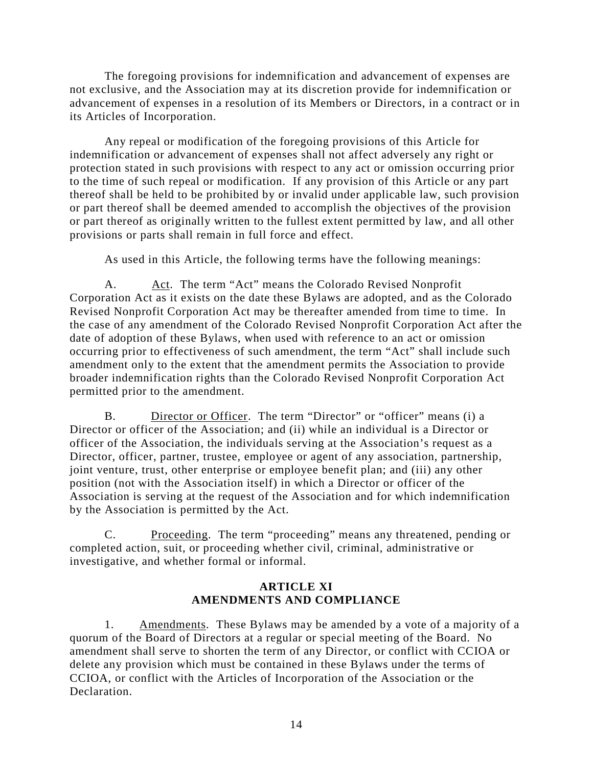The foregoing provisions for indemnification and advancement of expenses are not exclusive, and the Association may at its discretion provide for indemnification or advancement of expenses in a resolution of its Members or Directors, in a contract or in its Articles of Incorporation.

Any repeal or modification of the foregoing provisions of this Article for indemnification or advancement of expenses shall not affect adversely any right or protection stated in such provisions with respect to any act or omission occurring prior to the time of such repeal or modification. If any provision of this Article or any part thereof shall be held to be prohibited by or invalid under applicable law, such provision or part thereof shall be deemed amended to accomplish the objectives of the provision or part thereof as originally written to the fullest extent permitted by law, and all other provisions or parts shall remain in full force and effect.

As used in this Article, the following terms have the following meanings:

A. Act. The term "Act" means the Colorado Revised Nonprofit Corporation Act as it exists on the date these Bylaws are adopted, and as the Colorado Revised Nonprofit Corporation Act may be thereafter amended from time to time. In the case of any amendment of the Colorado Revised Nonprofit Corporation Act after the date of adoption of these Bylaws, when used with reference to an act or omission occurring prior to effectiveness of such amendment, the term "Act" shall include such amendment only to the extent that the amendment permits the Association to provide broader indemnification rights than the Colorado Revised Nonprofit Corporation Act permitted prior to the amendment.

B. Director or Officer. The term "Director" or "officer" means (i) a Director or officer of the Association; and (ii) while an individual is a Director or officer of the Association, the individuals serving at the Association's request as a Director, officer, partner, trustee, employee or agent of any association, partnership, joint venture, trust, other enterprise or employee benefit plan; and (iii) any other position (not with the Association itself) in which a Director or officer of the Association is serving at the request of the Association and for which indemnification by the Association is permitted by the Act.

C. Proceeding. The term "proceeding" means any threatened, pending or completed action, suit, or proceeding whether civil, criminal, administrative or investigative, and whether formal or informal.

## **ARTICLE XI AMENDMENTS AND COMPLIANCE**

1. Amendments. These Bylaws may be amended by a vote of a majority of a quorum of the Board of Directors at a regular or special meeting of the Board. No amendment shall serve to shorten the term of any Director, or conflict with CCIOA or delete any provision which must be contained in these Bylaws under the terms of CCIOA, or conflict with the Articles of Incorporation of the Association or the Declaration.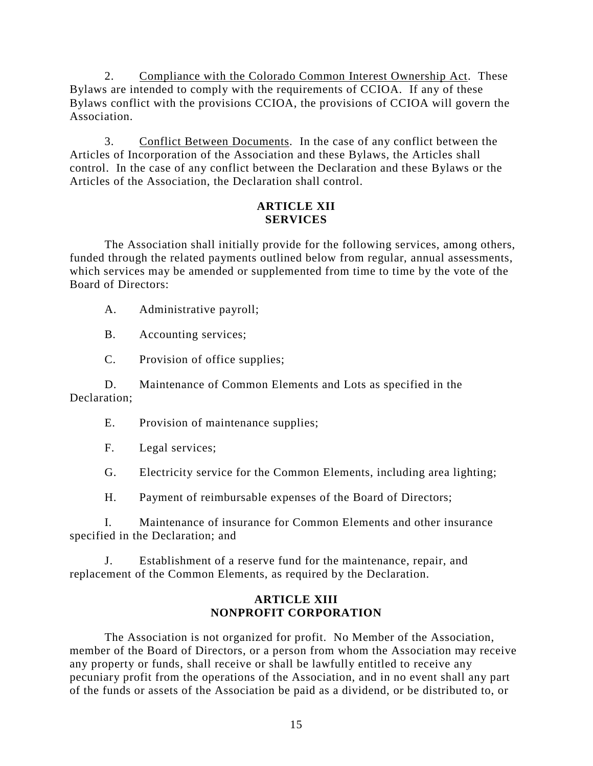2. Compliance with the Colorado Common Interest Ownership Act. These Bylaws are intended to comply with the requirements of CCIOA. If any of these Bylaws conflict with the provisions CCIOA, the provisions of CCIOA will govern the Association.

3. Conflict Between Documents. In the case of any conflict between the Articles of Incorporation of the Association and these Bylaws, the Articles shall control. In the case of any conflict between the Declaration and these Bylaws or the Articles of the Association, the Declaration shall control.

#### **ARTICLE XII SERVICES**

The Association shall initially provide for the following services, among others, funded through the related payments outlined below from regular, annual assessments, which services may be amended or supplemented from time to time by the vote of the Board of Directors:

A. Administrative payroll;

B. Accounting services;

C. Provision of office supplies;

D. Maintenance of Common Elements and Lots as specified in the Declaration;

E. Provision of maintenance supplies;

F. Legal services;

G. Electricity service for the Common Elements, including area lighting;

H. Payment of reimbursable expenses of the Board of Directors;

I. Maintenance of insurance for Common Elements and other insurance specified in the Declaration; and

J. Establishment of a reserve fund for the maintenance, repair, and replacement of the Common Elements, as required by the Declaration.

## **ARTICLE XIII NONPROFIT CORPORATION**

The Association is not organized for profit. No Member of the Association, member of the Board of Directors, or a person from whom the Association may receive any property or funds, shall receive or shall be lawfully entitled to receive any pecuniary profit from the operations of the Association, and in no event shall any part of the funds or assets of the Association be paid as a dividend, or be distributed to, or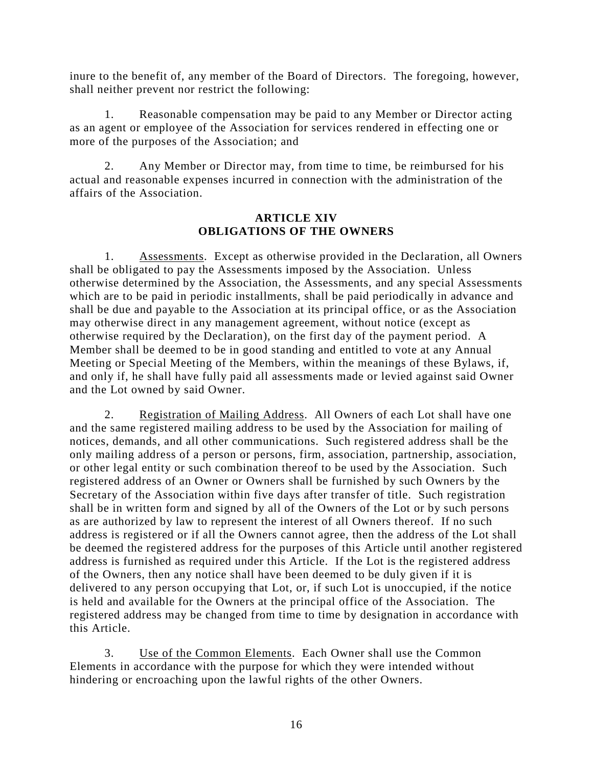inure to the benefit of, any member of the Board of Directors. The foregoing, however, shall neither prevent nor restrict the following:

1. Reasonable compensation may be paid to any Member or Director acting as an agent or employee of the Association for services rendered in effecting one or more of the purposes of the Association; and

2. Any Member or Director may, from time to time, be reimbursed for his actual and reasonable expenses incurred in connection with the administration of the affairs of the Association.

## **ARTICLE XIV OBLIGATIONS OF THE OWNERS**

1. Assessments. Except as otherwise provided in the Declaration, all Owners shall be obligated to pay the Assessments imposed by the Association. Unless otherwise determined by the Association, the Assessments, and any special Assessments which are to be paid in periodic installments, shall be paid periodically in advance and shall be due and payable to the Association at its principal office, or as the Association may otherwise direct in any management agreement, without notice (except as otherwise required by the Declaration), on the first day of the payment period. A Member shall be deemed to be in good standing and entitled to vote at any Annual Meeting or Special Meeting of the Members, within the meanings of these Bylaws, if, and only if, he shall have fully paid all assessments made or levied against said Owner and the Lot owned by said Owner.

2. Registration of Mailing Address. All Owners of each Lot shall have one and the same registered mailing address to be used by the Association for mailing of notices, demands, and all other communications. Such registered address shall be the only mailing address of a person or persons, firm, association, partnership, association, or other legal entity or such combination thereof to be used by the Association. Such registered address of an Owner or Owners shall be furnished by such Owners by the Secretary of the Association within five days after transfer of title. Such registration shall be in written form and signed by all of the Owners of the Lot or by such persons as are authorized by law to represent the interest of all Owners thereof. If no such address is registered or if all the Owners cannot agree, then the address of the Lot shall be deemed the registered address for the purposes of this Article until another registered address is furnished as required under this Article. If the Lot is the registered address of the Owners, then any notice shall have been deemed to be duly given if it is delivered to any person occupying that Lot, or, if such Lot is unoccupied, if the notice is held and available for the Owners at the principal office of the Association. The registered address may be changed from time to time by designation in accordance with this Article.

3. Use of the Common Elements. Each Owner shall use the Common Elements in accordance with the purpose for which they were intended without hindering or encroaching upon the lawful rights of the other Owners.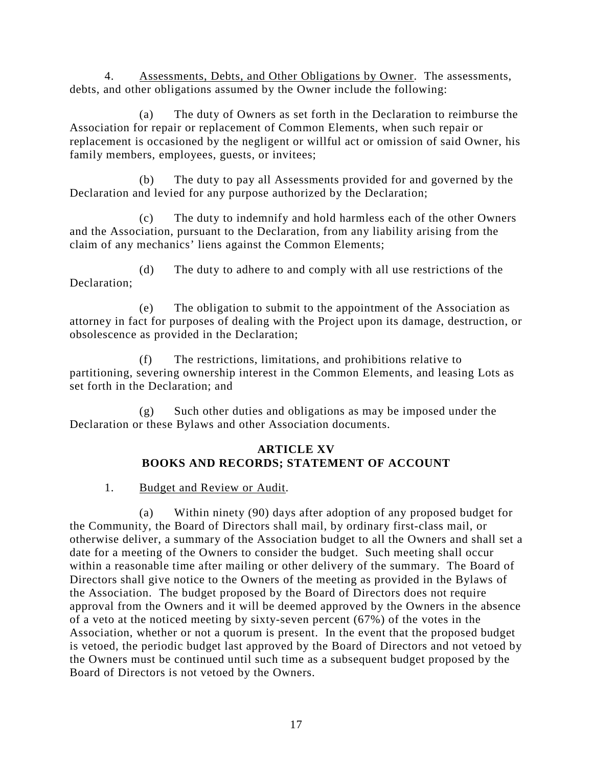4. Assessments, Debts, and Other Obligations by Owner. The assessments, debts, and other obligations assumed by the Owner include the following:

(a) The duty of Owners as set forth in the Declaration to reimburse the Association for repair or replacement of Common Elements, when such repair or replacement is occasioned by the negligent or willful act or omission of said Owner, his family members, employees, guests, or invitees;

(b) The duty to pay all Assessments provided for and governed by the Declaration and levied for any purpose authorized by the Declaration;

(c) The duty to indemnify and hold harmless each of the other Owners and the Association, pursuant to the Declaration, from any liability arising from the claim of any mechanics' liens against the Common Elements;

(d) The duty to adhere to and comply with all use restrictions of the Declaration;

(e) The obligation to submit to the appointment of the Association as attorney in fact for purposes of dealing with the Project upon its damage, destruction, or obsolescence as provided in the Declaration;

(f) The restrictions, limitations, and prohibitions relative to partitioning, severing ownership interest in the Common Elements, and leasing Lots as set forth in the Declaration; and

(g) Such other duties and obligations as may be imposed under the Declaration or these Bylaws and other Association documents.

# **ARTICLE XV BOOKS AND RECORDS; STATEMENT OF ACCOUNT**

1. Budget and Review or Audit.

(a) Within ninety (90) days after adoption of any proposed budget for the Community, the Board of Directors shall mail, by ordinary first-class mail, or otherwise deliver, a summary of the Association budget to all the Owners and shall set a date for a meeting of the Owners to consider the budget. Such meeting shall occur within a reasonable time after mailing or other delivery of the summary. The Board of Directors shall give notice to the Owners of the meeting as provided in the Bylaws of the Association. The budget proposed by the Board of Directors does not require approval from the Owners and it will be deemed approved by the Owners in the absence of a veto at the noticed meeting by sixty-seven percent (67%) of the votes in the Association, whether or not a quorum is present. In the event that the proposed budget is vetoed, the periodic budget last approved by the Board of Directors and not vetoed by the Owners must be continued until such time as a subsequent budget proposed by the Board of Directors is not vetoed by the Owners.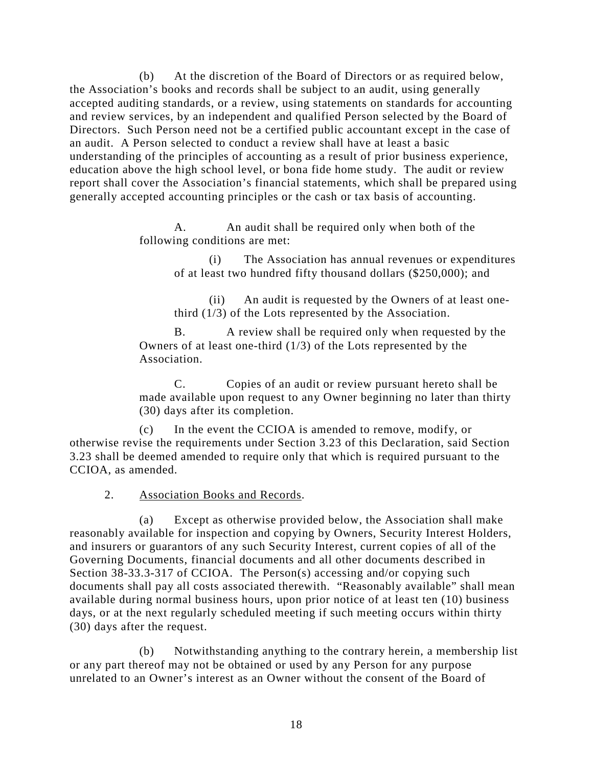(b) At the discretion of the Board of Directors or as required below, the Association's books and records shall be subject to an audit, using generally accepted auditing standards, or a review, using statements on standards for accounting and review services, by an independent and qualified Person selected by the Board of Directors. Such Person need not be a certified public accountant except in the case of an audit. A Person selected to conduct a review shall have at least a basic understanding of the principles of accounting as a result of prior business experience, education above the high school level, or bona fide home study. The audit or review report shall cover the Association's financial statements, which shall be prepared using generally accepted accounting principles or the cash or tax basis of accounting.

> A. An audit shall be required only when both of the following conditions are met:

> > (i) The Association has annual revenues or expenditures of at least two hundred fifty thousand dollars (\$250,000); and

(ii) An audit is requested by the Owners of at least onethird (1/3) of the Lots represented by the Association.

B. A review shall be required only when requested by the Owners of at least one-third (1/3) of the Lots represented by the Association.

C. Copies of an audit or review pursuant hereto shall be made available upon request to any Owner beginning no later than thirty (30) days after its completion.

(c) In the event the CCIOA is amended to remove, modify, or otherwise revise the requirements under Section 3.23 of this Declaration, said Section 3.23 shall be deemed amended to require only that which is required pursuant to the CCIOA, as amended.

2. Association Books and Records.

(a) Except as otherwise provided below, the Association shall make reasonably available for inspection and copying by Owners, Security Interest Holders, and insurers or guarantors of any such Security Interest, current copies of all of the Governing Documents, financial documents and all other documents described in Section 38-33.3-317 of CCIOA. The Person(s) accessing and/or copying such documents shall pay all costs associated therewith. "Reasonably available" shall mean available during normal business hours, upon prior notice of at least ten (10) business days, or at the next regularly scheduled meeting if such meeting occurs within thirty (30) days after the request.

(b) Notwithstanding anything to the contrary herein, a membership list or any part thereof may not be obtained or used by any Person for any purpose unrelated to an Owner's interest as an Owner without the consent of the Board of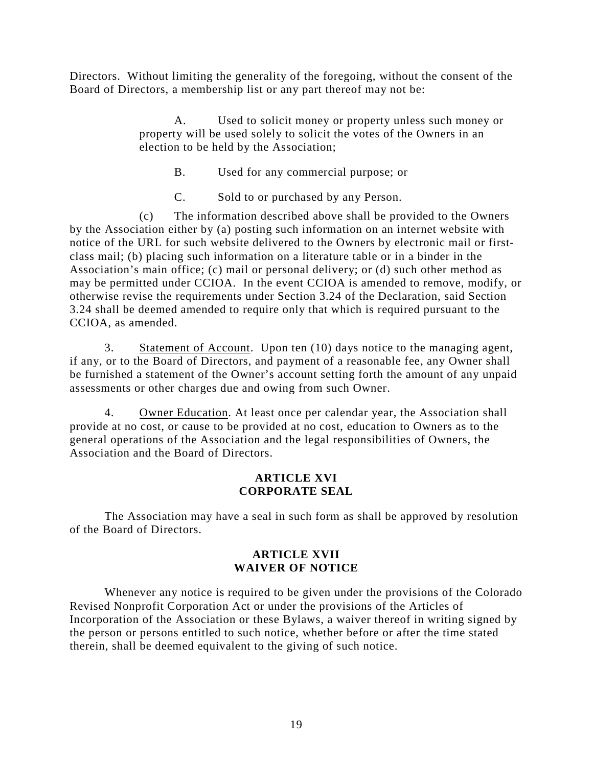Directors. Without limiting the generality of the foregoing, without the consent of the Board of Directors, a membership list or any part thereof may not be:

> A. Used to solicit money or property unless such money or property will be used solely to solicit the votes of the Owners in an election to be held by the Association;

B. Used for any commercial purpose; or

C. Sold to or purchased by any Person.

(c) The information described above shall be provided to the Owners by the Association either by (a) posting such information on an internet website with notice of the URL for such website delivered to the Owners by electronic mail or firstclass mail; (b) placing such information on a literature table or in a binder in the Association's main office; (c) mail or personal delivery; or (d) such other method as may be permitted under CCIOA. In the event CCIOA is amended to remove, modify, or otherwise revise the requirements under Section 3.24 of the Declaration, said Section 3.24 shall be deemed amended to require only that which is required pursuant to the CCIOA, as amended.

3. Statement of Account. Upon ten (10) days notice to the managing agent, if any, or to the Board of Directors, and payment of a reasonable fee, any Owner shall be furnished a statement of the Owner's account setting forth the amount of any unpaid assessments or other charges due and owing from such Owner.

4. Owner Education. At least once per calendar year, the Association shall provide at no cost, or cause to be provided at no cost, education to Owners as to the general operations of the Association and the legal responsibilities of Owners, the Association and the Board of Directors.

## **ARTICLE XVI CORPORATE SEAL**

The Association may have a seal in such form as shall be approved by resolution of the Board of Directors.

## **ARTICLE XVII WAIVER OF NOTICE**

Whenever any notice is required to be given under the provisions of the Colorado Revised Nonprofit Corporation Act or under the provisions of the Articles of Incorporation of the Association or these Bylaws, a waiver thereof in writing signed by the person or persons entitled to such notice, whether before or after the time stated therein, shall be deemed equivalent to the giving of such notice.